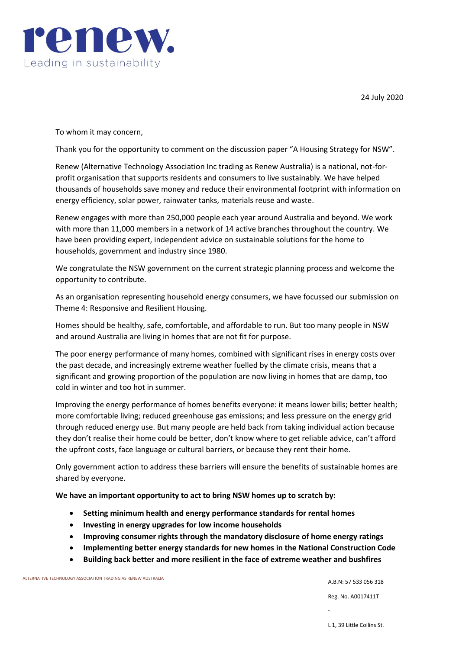

24 July 2020

To whom it may concern,

Thank you for the opportunity to comment on the discussion paper "A Housing Strategy for NSW".

Renew (Alternative Technology Association Inc trading as Renew Australia) is a national, not-forprofit organisation that supports residents and consumers to live sustainably. We have helped thousands of households save money and reduce their environmental footprint with information on energy efficiency, solar power, rainwater tanks, materials reuse and waste.

Renew engages with more than 250,000 people each year around Australia and beyond. We work with more than 11,000 members in a network of 14 active branches throughout the country. We have been providing expert, independent advice on sustainable solutions for the home to households, government and industry since 1980.

We congratulate the NSW government on the current strategic planning process and welcome the opportunity to contribute.

As an organisation representing household energy consumers, we have focussed our submission on Theme 4: Responsive and Resilient Housing.

Homes should be healthy, safe, comfortable, and affordable to run. But too many people in NSW and around Australia are living in homes that are not fit for purpose.

The poor energy performance of many homes, combined with significant rises in energy costs over the past decade, and increasingly extreme weather fuelled by the climate crisis, means that a significant and growing proportion of the population are now living in homes that are damp, too cold in winter and too hot in summer.

Improving the energy performance of homes benefits everyone: it means lower bills; better health; more comfortable living; reduced greenhouse gas emissions; and less pressure on the energy grid through reduced energy use. But many people are held back from taking individual action because they don't realise their home could be better, don't know where to get reliable advice, can't afford the upfront costs, face language or cultural barriers, or because they rent their home.

Only government action to address these barriers will ensure the benefits of sustainable homes are shared by everyone.

**We have an important opportunity to act to bring NSW homes up to scratch by:**

- **Setting minimum health and energy performance standards for rental homes**
- **Investing in energy upgrades for low income households**
- **Improving consumer rights through the mandatory disclosure of home energy ratings**
- **Implementing better energy standards for new homes in the National Construction Code**
- **Building back better and more resilient in the face of extreme weather and bushfires**

ALTERNATIVE TECHNOLOGY ASSOCIATION TRADING AS RENEW AUSTRALIA

A.B.N: 57 533 056 318

Reg. No. A0017411T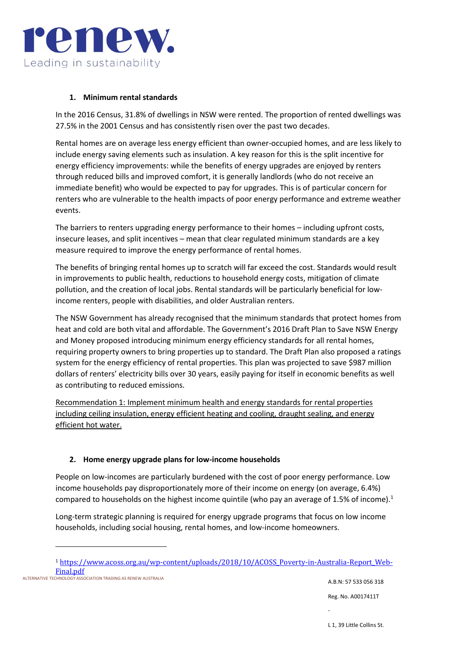

### **1. Minimum rental standards**

In the 2016 Census, 31.8% of dwellings in NSW were rented. The proportion of rented dwellings was 27.5% in the 2001 Census and has consistently risen over the past two decades.

Rental homes are on average less energy efficient than owner-occupied homes, and are less likely to include energy saving elements such as insulation. A key reason for this is the split incentive for energy efficiency improvements: while the benefits of energy upgrades are enjoyed by renters through reduced bills and improved comfort, it is generally landlords (who do not receive an immediate benefit) who would be expected to pay for upgrades. This is of particular concern for renters who are vulnerable to the health impacts of poor energy performance and extreme weather events.

The barriers to renters upgrading energy performance to their homes – including upfront costs, insecure leases, and split incentives – mean that clear regulated minimum standards are a key measure required to improve the energy performance of rental homes.

The benefits of bringing rental homes up to scratch will far exceed the cost. Standards would result in improvements to public health, reductions to household energy costs, mitigation of climate pollution, and the creation of local jobs. Rental standards will be particularly beneficial for lowincome renters, people with disabilities, and older Australian renters.

The NSW Government has already recognised that the minimum standards that protect homes from heat and cold are both vital and affordable. The Government's 2016 Draft Plan to Save NSW Energy and Money proposed introducing minimum energy efficiency standards for all rental homes, requiring property owners to bring properties up to standard. The Draft Plan also proposed a ratings system for the energy efficiency of rental properties. This plan was projected to save \$987 million dollars of renters' electricity bills over 30 years, easily paying for itself in economic benefits as well as contributing to reduced emissions.

Recommendation 1: Implement minimum health and energy standards for rental properties including ceiling insulation, energy efficient heating and cooling, draught sealing, and energy efficient hot water.

## **2. Home energy upgrade plans for low-income households**

People on low-incomes are particularly burdened with the cost of poor energy performance. Low income households pay disproportionately more of their income on energy (on average, 6.4%) compared to households on the highest income quintile (who pay an average of 1.5% of income).<sup>1</sup>

Long-term strategic planning is required for energy upgrade programs that focus on low income households, including social housing, rental homes, and low-income homeowners.

<sup>1</sup> [https://www.acoss.org.au/wp-content/uploads/2018/10/ACOSS\\_Poverty-in-Australia-Report\\_Web-](https://www.acoss.org.au/wp-content/uploads/2018/10/ACOSS_Poverty-in-Australia-Report_Web-Final.pdf)[Final.pdf](https://www.acoss.org.au/wp-content/uploads/2018/10/ACOSS_Poverty-in-Australia-Report_Web-Final.pdf)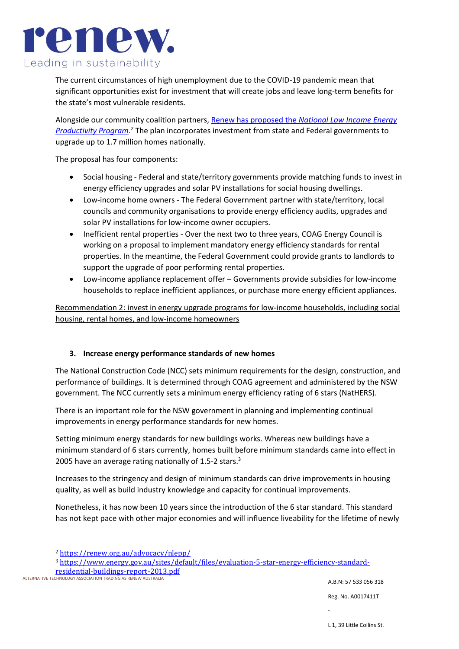

The current circumstances of high unemployment due to the COVID-19 pandemic mean that significant opportunities exist for investment that will create jobs and leave long-term benefits for the state's most vulnerable residents.

Alongside our community coalition partners, Renew has proposed the *[National Low Income Energy](https://renew.org.au/advocacy/nlepp/)  [Productivity Program.](https://renew.org.au/advocacy/nlepp/) <sup>2</sup>* The plan incorporates investment from state and Federal governments to upgrade up to 1.7 million homes nationally.

The proposal has four components:

- Social housing Federal and state/territory governments provide matching funds to invest in energy efficiency upgrades and solar PV installations for social housing dwellings.
- Low-income home owners The Federal Government partner with state/territory, local councils and community organisations to provide energy efficiency audits, upgrades and solar PV installations for low-income owner occupiers.
- Inefficient rental properties Over the next two to three years, COAG Energy Council is working on a proposal to implement mandatory energy efficiency standards for rental properties. In the meantime, the Federal Government could provide grants to landlords to support the upgrade of poor performing rental properties.
- Low-income appliance replacement offer Governments provide subsidies for low-income households to replace inefficient appliances, or purchase more energy efficient appliances.

Recommendation 2: invest in energy upgrade programs for low-income households, including social housing, rental homes, and low-income homeowners

#### **3. Increase energy performance standards of new homes**

The National Construction Code (NCC) sets minimum requirements for the design, construction, and performance of buildings. It is determined through COAG agreement and administered by the NSW government. The NCC currently sets a minimum energy efficiency rating of 6 stars (NatHERS).

There is an important role for the NSW government in planning and implementing continual improvements in energy performance standards for new homes.

Setting minimum energy standards for new buildings works. Whereas new buildings have a minimum standard of 6 stars currently, homes built before minimum standards came into effect in 2005 have an average rating nationally of 1.5-2 stars.<sup>3</sup>

Increases to the stringency and design of minimum standards can drive improvements in housing quality, as well as build industry knowledge and capacity for continual improvements.

Nonetheless, it has now been 10 years since the introduction of the 6 star standard. This standard has not kept pace with other major economies and will influence liveability for the lifetime of newly

ALTERNATIVE TECHNOLOGY ASSOCIATION TRADING AS RENEW AUSTRALIA [residential-buildings-report-2013.pdf](https://www.energy.gov.au/sites/default/files/evaluation-5-star-energy-efficiency-standard-residential-buildings-report-2013.pdf)

<sup>2</sup> <https://renew.org.au/advocacy/nlepp/>

<sup>3</sup> [https://www.energy.gov.au/sites/default/files/evaluation-5-star-energy-efficiency-standard-](https://www.energy.gov.au/sites/default/files/evaluation-5-star-energy-efficiency-standard-residential-buildings-report-2013.pdf)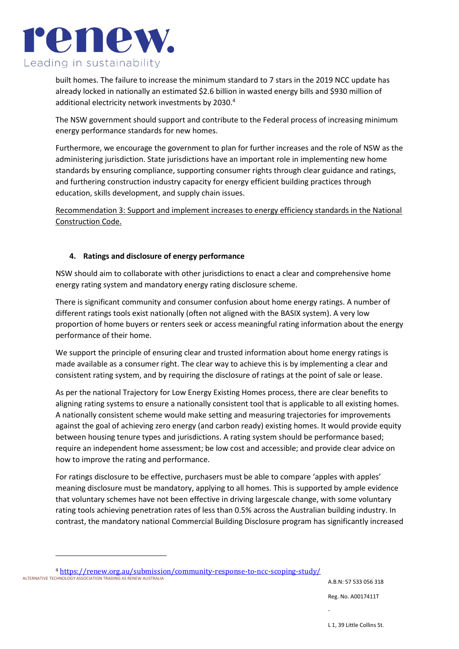

built homes. The failure to increase the minimum standard to 7 stars in the 2019 NCC update has already locked in nationally an estimated \$2.6 billion in wasted energy bills and \$930 million of additional electricity network investments by 2030.<sup>4</sup>

The NSW government should support and contribute to the Federal process of increasing minimum energy performance standards for new homes.

Furthermore, we encourage the government to plan for further increases and the role of NSW as the administering jurisdiction. State jurisdictions have an important role in implementing new home standards by ensuring compliance, supporting consumer rights through clear guidance and ratings, and furthering construction industry capacity for energy efficient building practices through education, skills development, and supply chain issues.

Recommendation 3: Support and implement increases to energy efficiency standards in the National Construction Code.

### **4. Ratings and disclosure of energy performance**

NSW should aim to collaborate with other jurisdictions to enact a clear and comprehensive home energy rating system and mandatory energy rating disclosure scheme.

There is significant community and consumer confusion about home energy ratings. A number of different ratings tools exist nationally (often not aligned with the BASIX system). A very low proportion of home buyers or renters seek or access meaningful rating information about the energy performance of their home.

We support the principle of ensuring clear and trusted information about home energy ratings is made available as a consumer right. The clear way to achieve this is by implementing a clear and consistent rating system, and by requiring the disclosure of ratings at the point of sale or lease.

As per the national Trajectory for Low Energy Existing Homes process, there are clear benefits to aligning rating systems to ensure a nationally consistent tool that is applicable to all existing homes. A nationally consistent scheme would make setting and measuring trajectories for improvements against the goal of achieving zero energy (and carbon ready) existing homes. It would provide equity between housing tenure types and jurisdictions. A rating system should be performance based; require an independent home assessment; be low cost and accessible; and provide clear advice on how to improve the rating and performance.

For ratings disclosure to be effective, purchasers must be able to compare 'apples with apples' meaning disclosure must be mandatory, applying to all homes. This is supported by ample evidence that voluntary schemes have not been effective in driving largescale change, with some voluntary rating tools achieving penetration rates of less than 0.5% across the Australian building industry. In contrast, the mandatory national Commercial Building Disclosure program has significantly increased

ALTERNATIVE TECHNOLOGY ASSOCIATION TRADING AS RENEW AUSTRALIA <sup>4</sup> <https://renew.org.au/submission/community-response-to-ncc-scoping-study/>

A.B.N: 57 533 056 318

Reg. No. A0017411T

-

L 1, 39 Little Collins St.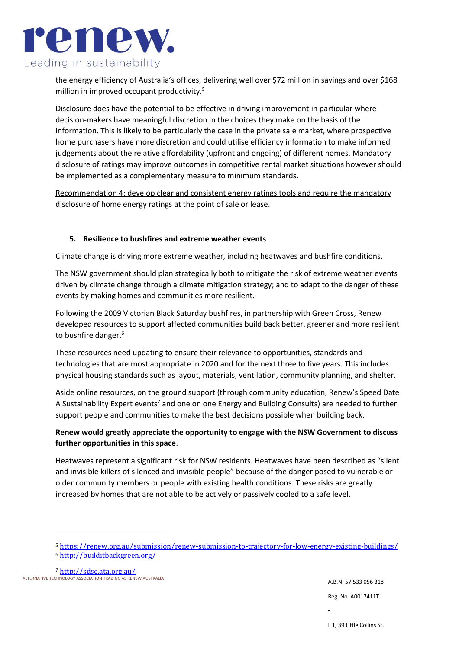

the energy efficiency of Australia's offices, delivering well over \$72 million in savings and over \$168 million in improved occupant productivity.<sup>5</sup>

Disclosure does have the potential to be effective in driving improvement in particular where decision-makers have meaningful discretion in the choices they make on the basis of the information. This is likely to be particularly the case in the private sale market, where prospective home purchasers have more discretion and could utilise efficiency information to make informed judgements about the relative affordability (upfront and ongoing) of different homes. Mandatory disclosure of ratings may improve outcomes in competitive rental market situations however should be implemented as a complementary measure to minimum standards.

Recommendation 4: develop clear and consistent energy ratings tools and require the mandatory disclosure of home energy ratings at the point of sale or lease.

### **5. Resilience to bushfires and extreme weather events**

Climate change is driving more extreme weather, including heatwaves and bushfire conditions.

The NSW government should plan strategically both to mitigate the risk of extreme weather events driven by climate change through a climate mitigation strategy; and to adapt to the danger of these events by making homes and communities more resilient.

Following the 2009 Victorian Black Saturday bushfires, in partnership with Green Cross, Renew developed resources to support affected communities build back better, greener and more resilient to bushfire danger.<sup>6</sup>

These resources need updating to ensure their relevance to opportunities, standards and technologies that are most appropriate in 2020 and for the next three to five years. This includes physical housing standards such as layout, materials, ventilation, community planning, and shelter.

Aside online resources, on the ground support (through community education, Renew's Speed Date A Sustainability Expert events<sup>7</sup> and one on one Energy and Building Consults) are needed to further support people and communities to make the best decisions possible when building back.

# **Renew would greatly appreciate the opportunity to engage with the NSW Government to discuss further opportunities in this space**.

Heatwaves represent a significant risk for NSW residents. Heatwaves have been described as "silent and invisible killers of silenced and invisible people" because of the danger posed to vulnerable or older community members or people with existing health conditions. These risks are greatly increased by homes that are not able to be actively or passively cooled to a safe level.

ALTERNATIVE TECHNOLOGY ASSOCIATION TRADING AS RENEW AUSTRALIA <sup>7</sup> <http://sdse.ata.org.au/>

<sup>5</sup> <https://renew.org.au/submission/renew-submission-to-trajectory-for-low-energy-existing-buildings/>

<sup>6</sup> <http://builditbackgreen.org/>